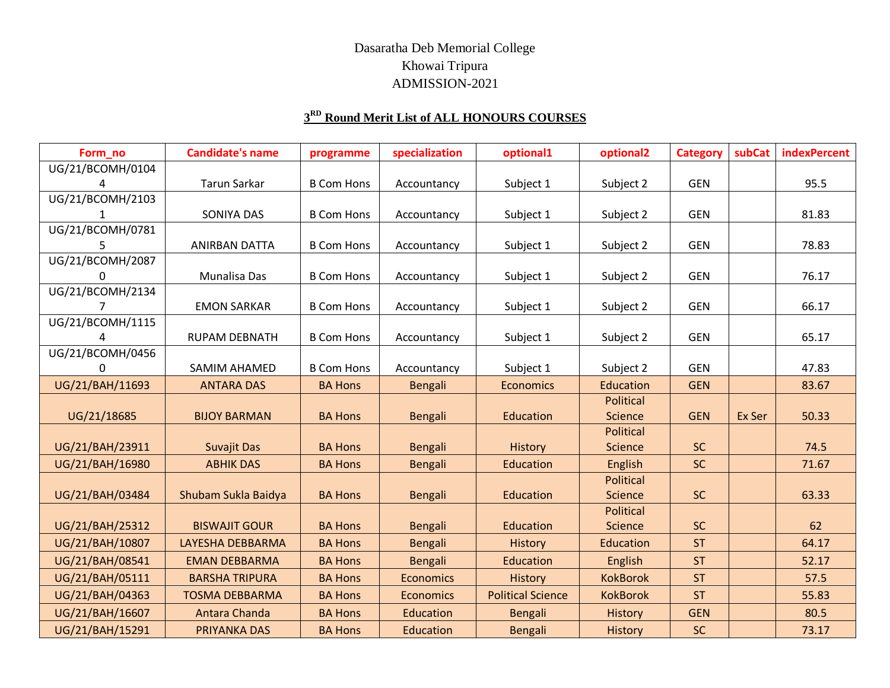## Dasaratha Deb Memorial College Khowai Tripura ADMISSION-2021

## **3 RD Round Merit List of ALL HONOURS COURSES**

| Form no          | <b>Candidate's name</b> | programme         | specialization   | optional1                | optional <sub>2</sub> | <b>Category</b> | subCat | <b>indexPercent</b> |
|------------------|-------------------------|-------------------|------------------|--------------------------|-----------------------|-----------------|--------|---------------------|
| UG/21/BCOMH/0104 |                         |                   |                  |                          |                       |                 |        |                     |
|                  | <b>Tarun Sarkar</b>     | <b>B Com Hons</b> | Accountancy      | Subject 1                | Subject 2             | <b>GEN</b>      |        | 95.5                |
| UG/21/BCOMH/2103 |                         |                   |                  |                          |                       |                 |        |                     |
|                  | SONIYA DAS              | <b>B Com Hons</b> | Accountancy      | Subject 1                | Subject 2             | <b>GEN</b>      |        | 81.83               |
| UG/21/BCOMH/0781 |                         |                   |                  |                          |                       |                 |        |                     |
|                  | <b>ANIRBAN DATTA</b>    | <b>B Com Hons</b> | Accountancy      | Subject 1                | Subject 2             | <b>GEN</b>      |        | 78.83               |
| UG/21/BCOMH/2087 |                         |                   |                  |                          |                       |                 |        |                     |
| $\Omega$         | Munalisa Das            | <b>B Com Hons</b> | Accountancy      | Subject 1                | Subject 2             | <b>GEN</b>      |        | 76.17               |
| UG/21/BCOMH/2134 |                         |                   |                  |                          |                       |                 |        |                     |
|                  | <b>EMON SARKAR</b>      | <b>B Com Hons</b> | Accountancy      | Subject 1                | Subject 2             | <b>GEN</b>      |        | 66.17               |
| UG/21/BCOMH/1115 |                         |                   |                  |                          |                       |                 |        |                     |
|                  | <b>RUPAM DEBNATH</b>    | <b>B Com Hons</b> | Accountancy      | Subject 1                | Subject 2             | <b>GEN</b>      |        | 65.17               |
| UG/21/BCOMH/0456 |                         |                   |                  |                          |                       |                 |        |                     |
| $\Omega$         | SAMIM AHAMED            | <b>B Com Hons</b> | Accountancy      | Subject 1                | Subject 2             | <b>GEN</b>      |        | 47.83               |
| UG/21/BAH/11693  | <b>ANTARA DAS</b>       | <b>BA Hons</b>    | Bengali          | <b>Economics</b>         | Education             | <b>GEN</b>      |        | 83.67               |
|                  |                         |                   |                  |                          | <b>Political</b>      |                 |        |                     |
| UG/21/18685      | <b>BIJOY BARMAN</b>     | <b>BA Hons</b>    | <b>Bengali</b>   | Education                | Science               | <b>GEN</b>      | Ex Ser | 50.33               |
|                  |                         |                   |                  |                          | <b>Political</b>      |                 |        |                     |
| UG/21/BAH/23911  | <b>Suvajit Das</b>      | <b>BA Hons</b>    | <b>Bengali</b>   | History                  | Science               | <b>SC</b>       |        | 74.5                |
| UG/21/BAH/16980  | <b>ABHIK DAS</b>        | <b>BA Hons</b>    | Bengali          | Education                | English               | <b>SC</b>       |        | 71.67               |
|                  |                         |                   |                  |                          | <b>Political</b>      |                 |        |                     |
| UG/21/BAH/03484  | Shubam Sukla Baidya     | <b>BA Hons</b>    | <b>Bengali</b>   | Education                | Science               | <b>SC</b>       |        | 63.33               |
|                  |                         |                   |                  |                          | <b>Political</b>      |                 |        |                     |
| UG/21/BAH/25312  | <b>BISWAJIT GOUR</b>    | <b>BA Hons</b>    | <b>Bengali</b>   | Education                | Science               | <b>SC</b>       |        | 62                  |
| UG/21/BAH/10807  | LAYESHA DEBBARMA        | <b>BA Hons</b>    | <b>Bengali</b>   | History                  | Education             | <b>ST</b>       |        | 64.17               |
| UG/21/BAH/08541  | <b>EMAN DEBBARMA</b>    | <b>BA Hons</b>    | Bengali          | Education                | English               | <b>ST</b>       |        | 52.17               |
| UG/21/BAH/05111  | <b>BARSHA TRIPURA</b>   | <b>BA Hons</b>    | <b>Economics</b> | History                  | <b>KokBorok</b>       | <b>ST</b>       |        | 57.5                |
| UG/21/BAH/04363  | <b>TOSMA DEBBARMA</b>   | <b>BA Hons</b>    | <b>Economics</b> | <b>Political Science</b> | <b>KokBorok</b>       | <b>ST</b>       |        | 55.83               |
| UG/21/BAH/16607  | Antara Chanda           | <b>BA Hons</b>    | Education        | Bengali                  | History               | <b>GEN</b>      |        | 80.5                |
| UG/21/BAH/15291  | <b>PRIYANKA DAS</b>     | <b>BA Hons</b>    | Education        | Bengali                  | History               | <b>SC</b>       |        | 73.17               |